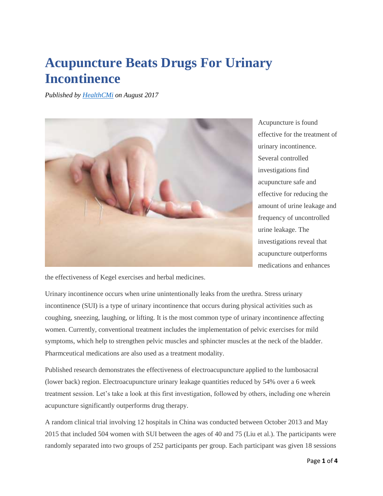## **Acupuncture Beats Drugs For Urinary Incontinence**

*Published by [HealthCMi](http://www.healthcmi.com/Acupuncture-Continuing-Education-News/1779-acupuncture-beats-drugs-for-urinary-incontinence) on August 2017*



Acupuncture is found effective for the treatment of urinary incontinence. Several controlled investigations find acupuncture safe and effective for reducing the amount of urine leakage and frequency of uncontrolled urine leakage. The investigations reveal that acupuncture outperforms medications and enhances

the effectiveness of Kegel exercises and herbal medicines.

Urinary incontinence occurs when urine unintentionally leaks from the urethra. Stress urinary incontinence (SUI) is a type of urinary incontinence that occurs during physical activities such as coughing, sneezing, laughing, or lifting. It is the most common type of urinary incontinence affecting women. Currently, conventional treatment includes the implementation of pelvic exercises for mild symptoms, which help to strengthen pelvic muscles and sphincter muscles at the neck of the bladder. Pharmceutical medications are also used as a treatment modality.

Published research demonstrates the effectiveness of electroacupuncture applied to the lumbosacral (lower back) region. Electroacupuncture urinary leakage quantities reduced by 54% over a 6 week treatment session. Let's take a look at this first investigation, followed by others, including one wherein acupuncture significantly outperforms drug therapy.

A random clinical trial involving 12 hospitals in China was conducted between October 2013 and May 2015 that included 504 women with SUI between the ages of 40 and 75 (Liu et al.). The participants were randomly separated into two groups of 252 participants per group. Each participant was given 18 sessions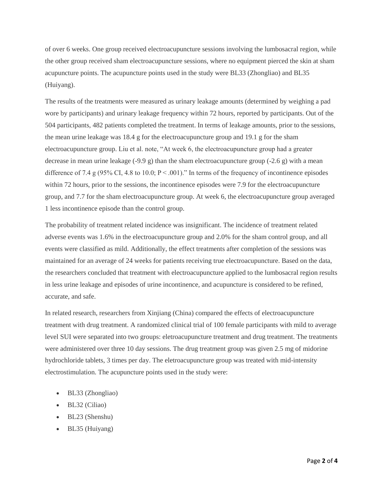of over 6 weeks. One group received electroacupuncture sessions involving the lumbosacral region, while the other group received sham electroacupuncture sessions, where no equipment pierced the skin at sham acupuncture points. The acupuncture points used in the study were BL33 (Zhongliao) and BL35 (Huiyang).

The results of the treatments were measured as urinary leakage amounts (determined by weighing a pad wore by participants) and urinary leakage frequency within 72 hours, reported by participants. Out of the 504 participants, 482 patients completed the treatment. In terms of leakage amounts, prior to the sessions, the mean urine leakage was 18.4 g for the electroacupuncture group and 19.1 g for the sham electroacupuncture group. Liu et al. note, "At week 6, the electroacupuncture group had a greater decrease in mean urine leakage (-9.9 g) than the sham electroacupuncture group (-2.6 g) with a mean difference of 7.4 g (95% CI, 4.8 to 10.0;  $P \le 0.001$ )." In terms of the frequency of incontinence episodes within 72 hours, prior to the sessions, the incontinence episodes were 7.9 for the electroacupuncture group, and 7.7 for the sham electroacupuncture group. At week 6, the electroacupuncture group averaged 1 less incontinence episode than the control group.

The probability of treatment related incidence was insignificant. The incidence of treatment related adverse events was 1.6% in the electroacupuncture group and 2.0% for the sham control group, and all events were classified as mild. Additionally, the effect treatments after completion of the sessions was maintained for an average of 24 weeks for patients receiving true electroacupuncture. Based on the data, the researchers concluded that treatment with electroacupuncture applied to the lumbosacral region results in less urine leakage and episodes of urine incontinence, and acupuncture is considered to be refined, accurate, and safe.

In related research, researchers from Xinjiang (China) compared the effects of electroacupuncture treatment with drug treatment. A randomized clinical trial of 100 female participants with mild to average level SUI were separated into two groups: eletroacupuncture treatment and drug treatment. The treatments were administered over three 10 day sessions. The drug treatment group was given 2.5 mg of midorine hydrochloride tablets, 3 times per day. The eletroacupuncture group was treated with mid-intensity electrostimulation. The acupuncture points used in the study were:

- BL33 (Zhongliao)
- BL32 (Ciliao)
- BL23 (Shenshu)
- BL35 (Huiyang)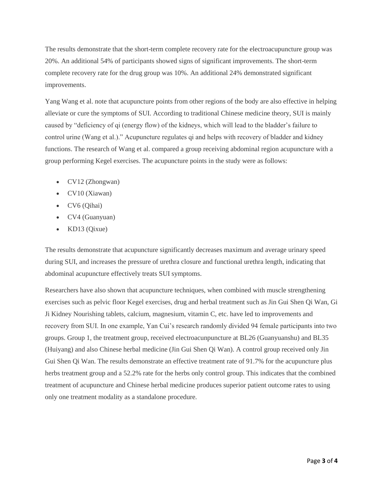The results demonstrate that the short-term complete recovery rate for the electroacupuncture group was 20%. An additional 54% of participants showed signs of significant improvements. The short-term complete recovery rate for the drug group was 10%. An additional 24% demonstrated significant improvements.

Yang Wang et al. note that acupuncture points from other regions of the body are also effective in helping alleviate or cure the symptoms of SUI. According to traditional Chinese medicine theory, SUI is mainly caused by "deficiency of qi (energy flow) of the kidneys, which will lead to the bladder's failure to control urine (Wang et al.)." Acupuncture regulates qi and helps with recovery of bladder and kidney functions. The research of Wang et al. compared a group receiving abdominal region acupuncture with a group performing Kegel exercises. The acupuncture points in the study were as follows:

- CV12 (Zhongwan)
- CV10 (Xiawan)
- CV6 (Qihai)
- CV4 (Guanyuan)
- KD13 (Qixue)

The results demonstrate that acupuncture significantly decreases maximum and average urinary speed during SUI, and increases the pressure of urethra closure and functional urethra length, indicating that abdominal acupuncture effectively treats SUI symptoms.

Researchers have also shown that acupuncture techniques, when combined with muscle strengthening exercises such as pelvic floor Kegel exercises, drug and herbal treatment such as Jin Gui Shen Qi Wan, Gi Ji Kidney Nourishing tablets, calcium, magnesium, vitamin C, etc. have led to improvements and recovery from SUI. In one example, Yan Cui's research randomly divided 94 female participants into two groups. Group 1, the treatment group, received electroacunpuncture at BL26 (Guanyuanshu) and BL35 (Huiyang) and also Chinese herbal medicine (Jin Gui Shen Qi Wan). A control group received only Jin Gui Shen Qi Wan. The results demonstrate an effective treatment rate of 91.7% for the acupuncture plus herbs treatment group and a 52.2% rate for the herbs only control group. This indicates that the combined treatment of acupuncture and Chinese herbal medicine produces superior patient outcome rates to using only one treatment modality as a standalone procedure.